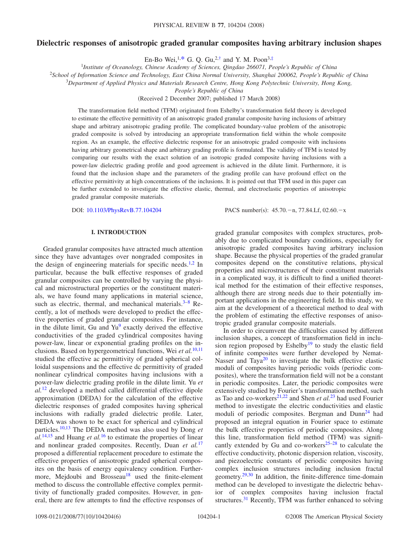# **Dielectric responses of anisotropic graded granular composites having arbitrary inclusion shapes**

En-Bo Wei,<sup>1[,\\*](#page-4-0)</sup> G. Q. Gu,<sup>2[,†](#page-4-1)</sup> and Y. M. Poon<sup>3[,‡](#page-4-2)</sup>

<sup>1</sup>Institute of Oceanology, Chinese Academy of Sciences, Qingdao 266071, People's Republic of China

<sup>2</sup>*School of Information Science and Technology, East China Normal University, Shanghai 200062, People's Republic of China*

3 *Department of Applied Physics and Materials Research Centre, Hong Kong Polytechnic University, Hong Kong,*

*People's Republic of China*

(Received 2 December 2007; published 17 March 2008)

The transformation field method (TFM) originated from Eshelby's transformation field theory is developed to estimate the effective permittivity of an anisotropic graded granular composite having inclusions of arbitrary shape and arbitrary anisotropic grading profile. The complicated boundary-value problem of the anisotropic graded composite is solved by introducing an appropriate transformation field within the whole composite region. As an example, the effective dielectric response for an anisotropic graded composite with inclusions having arbitrary geometrical shape and arbitrary grading profile is formulated. The validity of TFM is tested by comparing our results with the exact solution of an isotropic graded composite having inclusions with a power-law dielectric grading profile and good agreement is achieved in the dilute limit. Furthermore, it is found that the inclusion shape and the parameters of the grading profile can have profound effect on the effective permittivity at high concentrations of the inclusions. It is pointed out that TFM used in this paper can be further extended to investigate the effective elastic, thermal, and electroelastic properties of anisotropic graded granular composite materials.

DOI: [10.1103/PhysRevB.77.104204](http://dx.doi.org/10.1103/PhysRevB.77.104204)

PACS number(s):  $45.70 - n$ , 77.84.Lf, 02.60. $-x$ 

# **I. INTRODUCTION**

Graded granular composites have attracted much attention since they have advantages over nongraded composites in the design of engineering materials for specific needs.<sup>1,[2](#page-4-4)</sup> In particular, because the bulk effective responses of graded granular composites can be controlled by varying the physical and microstructural properties or the constituent materials, we have found many applications in material science, such as electric, thermal, and mechanical materials. $3-8$  $3-8$  Recently, a lot of methods were developed to predict the effective properties of graded granular composites. For instance, in the dilute limit, Gu and  $Yu^9$  exactly derived the effective conductivities of the graded cylindrical composites having power-law, linear or exponential grading profiles on the inclusions. Based on hypergeometrical functions, Wei *et al.*[10,](#page-4-8)[11](#page-4-9) studied the effective ac permittivity of graded spherical colloidal suspensions and the effective dc permittivity of graded nonlinear cylindrical composites having inclusions with a power-law dielectric grading profile in the dilute limit. Yu *et al.*[12](#page-4-10) developed a method called differential effective dipole approximation (DEDA) for the calculation of the effective dielectric responses of graded composites having spherical inclusions with radially graded dielectric profile. Later, DEDA was shown to be exact for spherical and cylindrical particles[.10](#page-4-8)[,13](#page-4-11) The DEDA method was also used by Dong *et al.*[14](#page-4-12)[,15](#page-4-13) and Huang *et al.*[16](#page-4-14) to estimate the properties of linear and nonlinear graded composites. Recently, Duan *et al.*[17](#page-4-15) proposed a differential replacement procedure to estimate the effective properties of anisotropic graded spherical composites on the basis of energy equivalency condition. Furthermore, Mejdoubi and Brosseau<sup>18</sup> used the finite-element method to discuss the controllable effective complex permittivity of functionally graded composites. However, in general, there are few attempts to find the effective responses of graded granular composites with complex structures, probably due to complicated boundary conditions, especially for anisotropic graded composites having arbitrary inclusion shape. Because the physical properties of the graded granular composites depend on the constitutive relations, physical properties and microstructures of their constituent materials in a complicated way, it is difficult to find a unified theoretical method for the estimation of their effective responses, although there are strong needs due to their potentially important applications in the engineering field. In this study, we aim at the development of a theoretical method to deal with the problem of estimating the effective responses of anisotropic graded granular composite materials.

In order to circumvent the difficulties caused by different inclusion shapes, a concept of transformation field in inclusion region proposed by Eshelby $19$  to study the elastic field of infinite composites were further developed by Nemat-Nasser and Tay $a^{20}$  to investigate the bulk effective elastic moduli of composites having periodic voids (periodic composites), where the transformation field will not be a constant in periodic composites. Later, the periodic composites were extensively studied by Fourier's transformation method, such as Tao and co-workers<sup>21[,22](#page-5-3)</sup> and Shen *et al.*<sup>[23](#page-5-4)</sup> had used Fourier method to investigate the electric conductivities and elastic moduli of periodic composites. Bergman and Dunn<sup>24</sup> had proposed an integral equation in Fourier space to estimate the bulk effective properties of periodic composites. Along this line, transformation field method (TFM) was signifi-cantly extended by Gu and co-workers<sup>25–[28](#page-5-7)</sup> to calculate the effective conductivity, photonic dispersion relation, viscosity, and piezoelectric constants of periodic composites having complex inclusion structures including inclusion fractal geometry.<sup>29,[30](#page-5-9)</sup> In addition, the finite-difference time-domain method can be developed to investigate the dielectric behavior of complex composites having inclusion fractal structures.<sup>31</sup> Recently, TFM was further enhanced to solving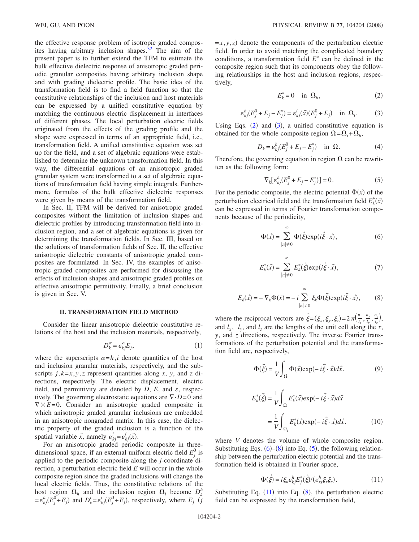the effective response problem of isotropic graded composites having arbitrary inclusion shapes. $32$  The aim of the present paper is to further extend the TFM to estimate the bulk effective dielectric response of anisotropic graded periodic granular composites having arbitrary inclusion shape and with grading dielectric profile. The basic idea of the transformation field is to find a field function so that the constitutive relationships of the inclusion and host materials can be expressed by a unified constitutive equation by matching the continuous electric displacement in interfaces of different phases. The local perturbation electric fields originated from the effects of the grading profile and the shape were expressed in terms of an appropriate field, i.e., transformation field. A unified constitutive equation was set up for the field, and a set of algebraic equations were established to determine the unknown transformation field. In this way, the differential equations of an anisotropic graded granular system were transformed to a set of algebraic equations of transformation field having simple integrals. Furthermore, formulas of the bulk effective dielectric responses were given by means of the transformation field.

In Sec. II, TFM will be derived for anisotropic graded composites without the limitation of inclusion shapes and dielectric profiles by introducing transformation field into inclusion region, and a set of algebraic equations is given for determining the transformation fields. In Sec. III, based on the solutions of transformation fields of Sec. II, the effective anisotropic dielectric constants of anisotropic graded composites are formulated. In Sec. IV, the examples of anisotropic graded composites are performed for discussing the effects of inclusion shapes and anisotropic graded profiles on effective anisotropic permittivity. Finally, a brief conclusion is given in Sec. V.

#### **II. TRANSFORMATION FIELD METHOD**

Consider the linear anisotropic dielectric constitutive relations of the host and the inclusion materials, respectively,

$$
D_k^{\alpha} = \varepsilon_{kj}^{\alpha} E_j,\tag{1}
$$

where the superscripts  $\alpha = h, i$  denote quantities of the host and inclusion granular materials, respectively, and the subscripts  $j, k=x, y, z$  represent quantities along x, y, and z directions, respectively. The electric displacement, electric field, and permittivity are denoted by  $D$ ,  $E$ , and  $\varepsilon$ , respectively. The governing electrostatic equations are  $\nabla \cdot D = 0$  and  $\nabla \times E = 0$ . Consider an anisotropic graded composite in which anisotropic graded granular inclusions are embedded in an anisotropic nongraded matrix. In this case, the dielectric property of the graded inclusion is a function of the spatial variable  $\vec{x}$ , namely  $\varepsilon_{kj}^i = \varepsilon_{kj}^i(\vec{x})$ .

For an anisotropic graded periodic composite in threedimensional space, if an external uniform electric field  $E_j^0$  is applied to the periodic composite along the *j*-coordinate direction, a perturbation electric field *E* will occur in the whole composite region since the graded inclusions will change the local electric fields. Thus, the constitutive relations of the host region  $\Omega_h$  and the inclusion region  $\Omega_i$  become  $D_k^h$  $= \varepsilon_{kj}^h (E_j^0 + E_j)$  and  $D_k^i = \varepsilon_{kj}^i (E_j^0 + E_j)$ , respectively, where  $E_j$  *(j* 

 $=x, y, z$  denote the components of the perturbation electric field. In order to avoid matching the complicated boundary conditions, a transformation field  $E^*$  can be defined in the composite region such that its components obey the following relationships in the host and inclusion regions, respectively,

$$
E_k^* = 0 \quad \text{in } \Omega_h,\tag{2}
$$

$$
\varepsilon_{kj}^{h}(E_{j}^{0} + E_{j} - E_{j}^{*}) = \varepsilon_{kj}^{i}(\vec{x})(E_{j}^{0} + E_{j}) \text{ in } \Omega_{i}.
$$
 (3)

<span id="page-1-1"></span><span id="page-1-0"></span>Using Eqs.  $(2)$  $(2)$  $(2)$  and  $(3)$  $(3)$  $(3)$ , a unified constitutive equation is obtained for the whole composite region  $\Omega = \Omega_i + \Omega_h$ ,

$$
D_k = \varepsilon_{kj}^h (E_j^0 + E_j - E_j^*) \quad \text{in } \Omega. \tag{4}
$$

<span id="page-1-7"></span>Therefore, the governing equation in region  $\Omega$  can be rewritten as the following form:

$$
\nabla_k \big[ \varepsilon_{kj}^h (E_j^0 + E_j - E_j^*) \big] = 0. \tag{5}
$$

<span id="page-1-3"></span><span id="page-1-2"></span>For the periodic composite, the electric potential  $\Phi(\vec{x})$  of the perturbation electrical field and the transformation field  $E_k^*(\vec{x})$ can be expressed in terms of Fourier transformation components because of the periodicity,

$$
\Phi(\vec{x}) = \sum_{|n| \neq 0}^{\infty} \Phi(\vec{\xi}) \exp(i\vec{\xi} \cdot \vec{x}), \tag{6}
$$

$$
E_k^*(\vec{x}) = \sum_{|n| \neq 0}^{\infty} E_k^*(\vec{\xi}) \exp(i\vec{\xi} \cdot \vec{x}), \tag{7}
$$

<span id="page-1-5"></span>
$$
E_k(\vec{x}) = -\nabla_k \Phi(\vec{x}) = -i \sum_{|n| \neq 0}^{\infty} \xi_k \Phi(\vec{\xi}) \exp(i\vec{\xi} \cdot \vec{x}), \quad (8)
$$

where the reciprocal vectors are  $\vec{\xi} = (\xi_x, \xi_y, \xi_z) = 2\pi \left(\frac{n_x}{l_x}, \frac{n_y}{l_y}, \frac{n_z}{l_z}\right)$  $\frac{n_z}{l_z}$ ), and  $l_x$ ,  $l_y$ , and  $l_z$  are the lengths of the unit cell along the *x*, *y*, and *z* directions, respectively. The inverse Fourier transformations of the perturbation potential and the transformation field are, respectively,

$$
\Phi(\vec{\xi}) = \frac{1}{V} \int_{\Omega} \Phi(\vec{x}) \exp(-i\vec{\xi} \cdot \vec{x}) d\vec{x}.
$$
 (9)

<span id="page-1-6"></span>
$$
E_k^*(\vec{\xi}) = \frac{1}{V} \int_{\Omega} E_k^*(\vec{x}) \exp(-i\vec{\xi} \cdot \vec{x}) d\vec{x}
$$

$$
= \frac{1}{V} \int_{\Omega_i} E_k^*(\vec{x}) \exp(-i\vec{\xi} \cdot \vec{x}) d\vec{x}.
$$
 (10)

where *V* denotes the volume of whole composite region. Substituting Eqs.  $(6)$  $(6)$  $(6)$ – $(8)$  $(8)$  $(8)$  into Eq.  $(5)$  $(5)$  $(5)$ , the following relationship between the perturbation electric potential and the transformation field is obtained in Fourier space,

$$
\Phi(\vec{\xi}) = i\xi_k \varepsilon_{kj}^h E_j^*(\vec{\xi}) / (\varepsilon_{rs}^h \xi_r \xi_s). \tag{11}
$$

<span id="page-1-4"></span>Substituting Eq.  $(11)$  $(11)$  $(11)$  into Eq.  $(8)$  $(8)$  $(8)$ , the perturbation electric field can be expressed by the transformation field,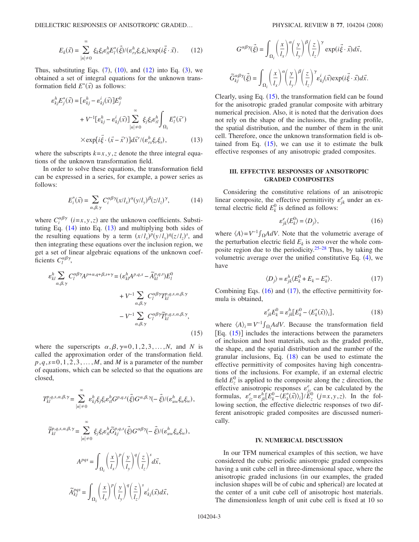<span id="page-2-0"></span>DIELECTRIC RESPONSES OF ANISOTROPIC GRADED...

$$
E_k(\vec{x}) = \sum_{|n| \neq 0}^{\infty} \xi_k \xi_i \varepsilon_{tl}^h E_l^*(\vec{\xi}) / (\varepsilon_{rs}^h \xi_r \xi_s) \exp(i\vec{\xi} \cdot \vec{x}). \tag{12}
$$

Thus, substituting Eqs.  $(7)$  $(7)$  $(7)$ ,  $(10)$  $(10)$  $(10)$ , and  $(12)$  $(12)$  $(12)$  into Eq.  $(3)$  $(3)$  $(3)$ , we obtained a set of integral equations for the unknown transformation field  $E^*(\vec{x})$  as follows:

<span id="page-2-2"></span>
$$
\varepsilon_{kj}^h E_j^*(\vec{x}) = [\varepsilon_{kj}^h - \varepsilon_{kj}^i(\vec{x})] E_j^0
$$
  
+  $V^{-1} [\varepsilon_{kj}^h - \varepsilon_{kj}^i(\vec{x})] \sum_{|n| \neq 0}^{\infty} \xi_j \xi_i \varepsilon_{il}^h \int_{\Omega_i} E_l^*(\vec{x}')$   
 $\times \exp[i\vec{\xi} \cdot (\vec{x} - \vec{x}')] d\vec{x}' / (\varepsilon_{rs}^h \xi_r \xi_s),$  (13)

where the subscripts  $k=x, y, z$  denote the three integral equations of the unknown transformation field.

In order to solve these equations, the transformation field can be expressed in a series, for example, a power series as follows:

$$
E_i^*(\vec{x}) = \sum_{\alpha,\beta,\gamma} C_i^{\alpha\beta\gamma} (x/l_x)^{\alpha} (y/l_y)^{\beta} (z/l_z)^{\gamma}, \qquad (14)
$$

<span id="page-2-1"></span>where  $C_i^{\alpha\beta\gamma}$  (*i*=*x*, *y*, *z*) are the unknown coefficients. Substituting Eq.  $(14)$  $(14)$  $(14)$  into Eq.  $(13)$  $(13)$  $(13)$  and multiplying both sides of the resulting equations by a term  $(x/l_x)^p (y/l_y)^q (z/l_z)^s$ , and then integrating these equations over the inclusion region, we get a set of linear algebraic equations of the unknown coefficients  $C_l^{\alpha\beta\gamma}$ ,

$$
\varepsilon_{kl}^{h} \sum_{\alpha,\beta,\gamma} C_{l}^{\alpha\beta\gamma} A^{p+\alpha,q+\beta,s+\gamma} = (\varepsilon_{kl}^{h} A^{p,q,s} - \tilde{A}_{kl}^{p,q,s}) E_{l}^{0}
$$

$$
+ V^{-1} \sum_{\alpha,\beta,\gamma} C_{l}^{\alpha\beta\gamma} T_{kl}^{p,q,s,\alpha,\beta,\gamma}
$$

$$
- V^{-1} \sum_{\alpha,\beta,\gamma} C_{l}^{\alpha\beta\gamma} \tilde{T}_{kl}^{p,q,s,\alpha,\beta,\gamma}, \qquad (15)
$$

where the superscripts  $\alpha, \beta, \gamma = 0, 1, 2, 3, \dots, N$ , and *N* is called the approximation order of the transformation field.  $p, q, s = 0, 1, 2, 3, \ldots, M$ , and *M* is a parameter of the number of equations, which can be selected so that the equations are closed,

$$
T_{kl}^{p,q,s,\alpha,\beta,\gamma} = \sum_{|n|\neq 0}^{\infty} \varepsilon_{kj}^{h} \xi_j \xi_i \varepsilon_{il}^{h} G^{p,q,s}(\vec{\xi}) G^{\alpha,\beta,\gamma}(-\vec{\xi}) / (\varepsilon_{uw}^{h} \xi_u \xi_w),
$$
  

$$
\widetilde{T}_{kl}^{p,q,s,\alpha,\beta,\gamma} = \sum_{|n|\neq 0}^{\infty} \xi_j \xi_i \varepsilon_{il}^{h} \widetilde{G}_{kj}^{p,q,s}(\vec{\xi}) G^{\alpha\beta\gamma}(-\vec{\xi}) / (\varepsilon_{uw}^{h} \xi_u \xi_w),
$$
  

$$
A^{pqs} = \int_{\Omega_i} \left(\frac{x}{l_x}\right)^p \left(\frac{y}{l_y}\right)^q \left(\frac{z}{l_z}\right)^s d\vec{x},
$$
  

$$
\widetilde{A}_{kj}^{pqs} = \int_{\Omega_i} \left(\frac{x}{l_x}\right)^p \left(\frac{y}{l_y}\right)^q \left(\frac{z}{l_z}\right)^s \varepsilon_{kj}^i(\vec{x}) d\vec{x},
$$

$$
G^{\alpha\beta\gamma}(\vec{\xi}) = \int_{\Omega_i} \left(\frac{x}{l_x}\right)^{\alpha} \left(\frac{y}{l_y}\right)^{\beta} \left(\frac{z}{l_z}\right)^{\gamma} \exp(i\vec{\xi} \cdot \vec{x}) d\vec{x},
$$

$$
\tilde{G}^{\alpha\beta\gamma}_{kj}(\vec{\xi}) = \int_{\Omega_i} \left(\frac{x}{l_x}\right)^{\alpha} \left(\frac{y}{l_y}\right)^{\beta} \left(\frac{z}{l_z}\right)^{\gamma} \varepsilon_{kj}^i(\vec{x}) \exp(i\vec{\xi} \cdot \vec{x}) d\vec{x}.
$$

Clearly, using Eq.  $(15)$  $(15)$  $(15)$ , the transformation field can be found for the anisotropic graded granular composite with arbitrary numerical precision. Also, it is noted that the derivation does not rely on the shape of the inclusions, the grading profile, the spatial distribution, and the number of them in the unit cell. Therefore, once the unknown transformation field is obtained from Eq.  $(15)$  $(15)$  $(15)$ , we can use it to estimate the bulk effective responses of any anisotropic graded composites.

# **III. EFFECTIVE RESPONSES OF ANISOTROPIC GRADED COMPOSITES**

Considering the constitutive relations of an anisotropic linear composite, the effective permittivity  $\varepsilon_{jk}^e$  under an external electric field  $E_k^0$  is defined as follows:

$$
\varepsilon_{jk}^e \langle E_k^0 \rangle = \langle D_j \rangle, \tag{16}
$$

<span id="page-2-3"></span>where  $\langle A \rangle = V^{-1} \int_{\Omega} A dV$ . Note that the volumetric average of the perturbation electric field  $E_k$  is zero over the whole composite region due to the periodicity[.25](#page-5-6)[–28](#page-5-7) Thus, by taking the volumetric average over the unified constitutive Eq.  $(4)$  $(4)$  $(4)$ , we have

$$
\langle D_j \rangle = \varepsilon_{jk}^h \langle E_k^0 + E_k - E_k^* \rangle. \tag{17}
$$

<span id="page-2-4"></span>Combining Eqs.  $(16)$  $(16)$  $(16)$  and  $(17)$  $(17)$  $(17)$ , the effective permittivity formula is obtained,

$$
\varepsilon_{jk}^e E_k^0 = \varepsilon_{jk}^h [E_k^0 - \langle E_k^*(\vec{x}) \rangle_i], \tag{18}
$$

<span id="page-2-5"></span>where  $\langle A \rangle_i \equiv V^{-1} \int_{\Omega_i} A dV$ . Because the transformation field  $[Eq. (15)]$  $[Eq. (15)]$  $[Eq. (15)]$  includes the interactions between the parameters of inclusion and host materials, such as the graded profile, the shape, and the spatial distribution and the number of the granular inclusions, Eq.  $(18)$  $(18)$  $(18)$  can be used to estimate the effective permittivity of composites having high concentrations of the inclusions. For example, if an external electric field  $E_z^0$  is applied to the composite along the *z* direction, the effective anisotropic responses  $\varepsilon_{jz_0}^e$  can be calculated by the formulas,  $\varepsilon_{j\overline{z}}^e = \varepsilon_{jk}^h \left[ E_k^0 - \langle E_k^*(\vec{x}) \rangle_i \right] / \dot{E}_z^0$  (*j*=*x*, *y*, *z*). In the following section, the effective dielectric responses of two different anisotropic graded composites are discussed numerically.

#### **IV. NUMERICAL DISCUSSION**

In our TFM numerical examples of this section, we have considered the cubic periodic anisotropic graded composites having a unit cube cell in three-dimensional space, where the anisotropic graded inclusions (in our examples, the graded inclusion shapes will be of cubic and spherical) are located at the center of a unit cube cell of anisotropic host materials. The dimensionless length of unit cube cell is fixed at 10 so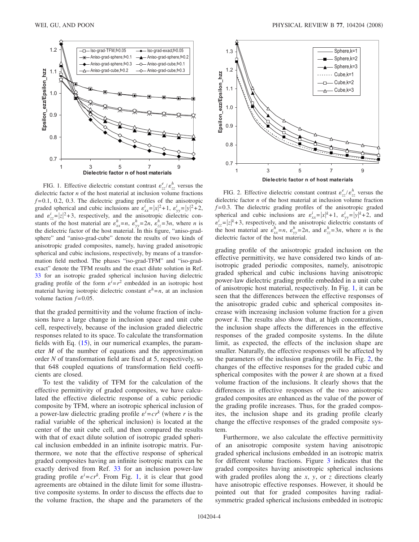<span id="page-3-0"></span>

FIG. 1. Effective dielectric constant contrast  $\varepsilon_{zz}^e / \varepsilon_{zz}^h$  versus the dielectric factor *n* of the host material at inclusion volume fractions  $f=0.1$ , 0.2, 0.3. The dielectric grading profiles of the anisotropic graded spherical and cubic inclusions are  $\varepsilon_{xx}^{i} = |x|^2 + 1$ ,  $\varepsilon_{yy}^{i} = |y|^2 + 2$ , and  $\varepsilon_{zz}^{i} = |z|^2 + 3$ , respectively, and the anisotropic dielectric constants of the host material are  $\varepsilon_{xx}^h = n$ ,  $\varepsilon_{yy}^h = 2n$ ,  $\varepsilon_{zz}^h = 3n$ , where *n* is the dielectric factor of the host material. In this figure, "aniso-gradsphere" and "aniso-grad-cube" denote the results of two kinds of anisotropic graded composites, namely, having graded anisotropic spherical and cubic inclusions, respectively, by means of a transformation field method. The phases "iso-grad-TFM" and "iso-gradexact" denote the TFM results and the exact dilute solution in Ref. [33](#page-5-12) for an isotropic graded spherical inclusion having dielectric grading profile of the form  $\varepsilon^i = r^2$  embedded in an isotropic host material having isotropic dielectric constant  $\varepsilon^{h}=n$ , at an inclusion volume faction  $f = 0.05$ .

that the graded permittivity and the volume fraction of inclusions have a large change in inclusion space and unit cube cell, respectively, because of the inclusion graded dielectric responses related to its space. To calculate the transformation fields with Eq.  $(15)$  $(15)$  $(15)$ , in our numerical examples, the parameter *M* of the number of equations and the approximation order *N* of transformation field are fixed at 5, respectively, so that 648 coupled equations of transformation field coefficients are closed.

To test the validity of TFM for the calculation of the effective permittivity of graded composites, we have calculated the effective dielectric response of a cubic periodic composite by TFM, where an isotropic spherical inclusion of a power-law dielectric grading profile  $\varepsilon^{i} = c r^{k}$  (where *r* is the radial variable of the spherical inclusion) is located at the center of the unit cube cell, and then compared the results with that of exact dilute solution of isotropic graded spherical inclusion embedded in an infinite isotropic matrix. Furthermore, we note that the effective response of spherical graded composites having an infinite isotropic matrix can be exactly derived from Ref. [33](#page-5-12) for an inclusion power-law grading profile  $\varepsilon^{i} = c r^{k}$ . From Fig. [1,](#page-3-0) it is clear that good agreements are obtained in the dilute limit for some illustrative composite systems. In order to discuss the effects due to the volume fraction, the shape and the parameters of the

<span id="page-3-1"></span>

FIG. 2. Effective dielectric constant contrast  $\varepsilon_{zz}^e / \varepsilon_{zz}^h$  versus the dielectric factor *n* of the host material at inclusion volume fraction  $f=0.3$ . The dielectric grading profiles of the anisotropic graded spherical and cubic inclusions are  $\varepsilon_{xx}^i = |x|^k + 1$ ,  $\varepsilon_{yy}^i = |y|^k + 2$ , and  $\varepsilon_{zz}^{i} = |z|^{k} + 3$ , respectively, and the anisotropic dielectric constants of the host material are  $\varepsilon_{xx}^h = n$ ,  $\varepsilon_{yy}^h = 2n$ , and  $\varepsilon_{zz}^h = 3n$ , where *n* is the dielectric factor of the host material.

grading profile of the anisotropic graded inclusion on the effective permittivity, we have considered two kinds of anisotropic graded periodic composites, namely, anisotropic graded spherical and cubic inclusions having anisotropic power-law dielectric grading profile embedded in a unit cube of anisotropic host material, respectively. In Fig. [1,](#page-3-0) it can be seen that the differences between the effective responses of the anisotropic graded cubic and spherical composites increase with increasing inclusion volume fraction for a given power *k*. The results also show that, at high concentrations, the inclusion shape affects the differences in the effective responses of the graded composite systems. In the dilute limit, as expected, the effects of the inclusion shape are smaller. Naturally, the effective responses will be affected by the parameters of the inclusion grading profile. In Fig. [2,](#page-3-1) the changes of the effective responses for the graded cubic and spherical composites with the power *k* are shown at a fixed volume fraction of the inclusions. It clearly shows that the differences in effective responses of the two anisotropic graded composites are enhanced as the value of the power of the grading profile increases. Thus, for the graded composites, the inclusion shape and its grading profile clearly change the effective responses of the graded composite system.

Furthermore, we also calculate the effective permittivity of an anisotropic composite system having anisotropic graded spherical inclusions embedded in an isotropic matrix for different volume fractions. Figure [3](#page-4-17) indicates that the graded composites having anisotropic spherical inclusions with graded profiles along the *x*, *y*, or *z* directions clearly have anisotropic effective responses. However, it should be pointed out that for graded composites having radialsymmetric graded spherical inclusions embedded in isotropic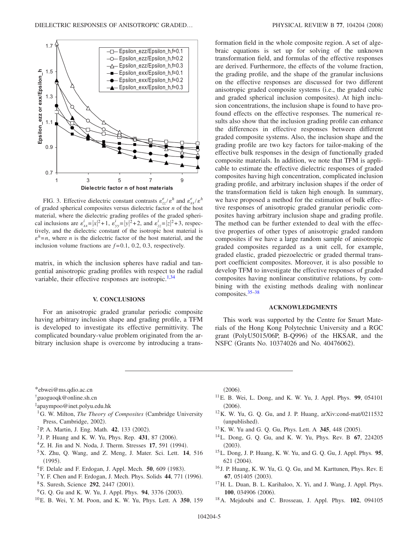<span id="page-4-17"></span>

FIG. 3. Effective dielectric constant contrasts  $\varepsilon_{zz}^e / \varepsilon^h$  and  $\varepsilon_{xx}^e / \varepsilon^h$ of graded spherical composites versus dielectric factor *n* of the host material, where the dielectric grading profiles of the graded spherical inclusions are  $\varepsilon_{xx}^{i} = |x|^2 + 1$ ,  $\varepsilon_{yy}^{i} = |y|^2 + 2$ , and  $\varepsilon_{zz}^{i} = |z|^2 + 3$ , respectively, and the dielectric constant of the isotropic host material is  $\varepsilon^{h}$ =*n*, where *n* is the dielectric factor of the host material, and the inclusion volume fractions are  $f=0.1$ , 0.2, 0.3, respectively.

matrix, in which the inclusion spheres have radial and tangential anisotropic grading profiles with respect to the radial variable, their effective responses are isotropic.<sup>1[,34](#page-5-13)</sup>

## **V. CONCLUSIONS**

For an anisotropic graded granular periodic composite having arbitrary inclusion shape and grading profile, a TFM is developed to investigate its effective permittivity. The complicated boundary-value problem originated from the arbitrary inclusion shape is overcome by introducing a transformation field in the whole composite region. A set of algebraic equations is set up for solving of the unknown transformation field, and formulas of the effective responses are derived. Furthermore, the effects of the volume fraction, the grading profile, and the shape of the granular inclusions on the effective responses are discussed for two different anisotropic graded composite systems (i.e., the graded cubic and graded spherical inclusion composites). At high inclusion concentrations, the inclusion shape is found to have profound effects on the effective responses. The numerical results also show that the inclusion grading profile can enhance the differences in effective responses between different graded composite systems. Also, the inclusion shape and the grading profile are two key factors for tailor-making of the effective bulk responses in the design of functionally graded composite materials. In addition, we note that TFM is applicable to estimate the effective dielectric responses of graded composites having high concentration, complicated inclusion grading profile, and arbitrary inclusion shapes if the order of the transformation field is taken high enough. In summary, we have proposed a method for the estimation of bulk effective responses of anisotropic graded granular periodic composites having arbitrary inclusion shape and grading profile. The method can be further extended to deal with the effective properties of other types of anisotropic graded random composites if we have a large random sample of anisotropic graded composites regarded as a unit cell, for example, graded elastic, graded piezoelectric or graded thermal transport coefficient composites. Moreover, it is also possible to develop TFM to investigate the effective responses of graded composites having nonlinear constitutive relations, by combining with the existing methods dealing with nonlinear composites[.35](#page-5-14)[–38](#page-5-15)

## **ACKNOWLEDGMENTS**

This work was supported by the Centre for Smart Materials of the Hong Kong Polytechnic University and a RGC grant (PolyU5015/06P, B-Q996) of the HKSAR, and the NSFC (Grants No. 10374026 and No. 40476062).

<span id="page-4-0"></span>\*ebwei@ms.qdio.ac.cn

<span id="page-4-1"></span>†guoguoqk@online.sh.cn

- <span id="page-4-2"></span>‡apaympoo@inet.polyu.edu.hk
- <span id="page-4-3"></span><sup>1</sup>G. W. Milton, *The Theory of Composites* (Cambridge University Press, Cambridge, 2002).
- <span id="page-4-4"></span><sup>2</sup> P. A. Martin, J. Eng. Math. **42**, 133 (2002).
- <span id="page-4-5"></span><sup>3</sup> J. P. Huang and K. W. Yu, Phys. Rep. 431, 87 (2006).
- <sup>4</sup>Z. H. Jin and N. Noda, J. Therm. Stresses 17, 591 (1994).
- 5X. Zhu, Q. Wang, and Z. Meng, J. Mater. Sci. Lett. **14**, 516  $(1995).$
- <sup>6</sup>F. Delale and F. Erdogan, J. Appl. Mech. **50**, 609 (1983).
- $7$  Y. F. Chen and F. Erdogan, J. Mech. Phys. Solids  $44$ , 771 (1996).
- <span id="page-4-6"></span><sup>8</sup> S. Suresh, Science 292, 2447 (2001).
- <span id="page-4-7"></span><sup>9</sup> G. Q. Gu and K. W. Yu, J. Appl. Phys. **94**, 3376 (2003).
- <span id="page-4-8"></span>10E. B. Wei, Y. M. Poon, and K. W. Yu, Phys. Lett. A **350**, 159

 $(2006).$ 

- <span id="page-4-9"></span>11E. B. Wei, L. Dong, and K. W. Yu, J. Appl. Phys. **99**, 054101  $(2006).$
- <span id="page-4-10"></span>12K. W. Yu, G. Q. Gu, and J. P. Huang, arXiv:cond-mat/0211532 (unpublished).
- <span id="page-4-11"></span><sup>13</sup> K. W. Yu and G. Q. Gu, Phys. Lett. A **345**, 448 (2005).
- <span id="page-4-12"></span>14L. Dong, G. Q. Gu, and K. W. Yu, Phys. Rev. B **67**, 224205  $(2003).$
- <span id="page-4-13"></span>15L. Dong, J. P. Huang, K. W. Yu, and G. Q. Gu, J. Appl. Phys. **95**, 621 (2004).
- <span id="page-4-14"></span><sup>16</sup> J. P. Huang, K. W. Yu, G. Q. Gu, and M. Karttunen, Phys. Rev. E 67, 051405 (2003).
- <span id="page-4-15"></span><sup>17</sup>H. L. Duan, B. L. Karihaloo, X. Yi, and J. Wang, J. Appl. Phys. 100, 034906 (2006).
- <span id="page-4-16"></span>18A. Mejdoubi and C. Brosseau, J. Appl. Phys. **102**, 094105